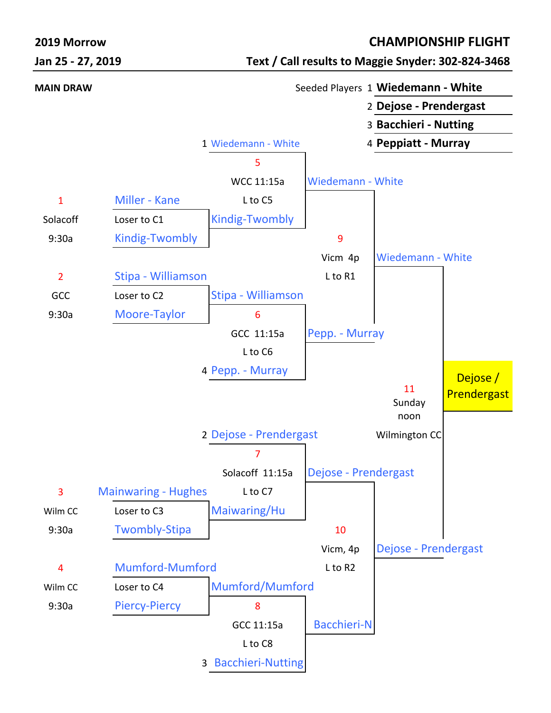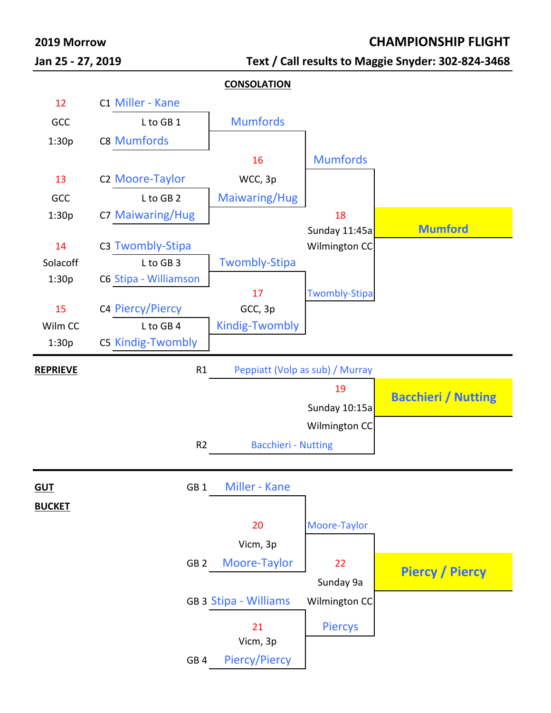

# **Jan 25 - 27, 2019 Text / Call results to Maggie Snyder: 302-824-3468**

#### **2019 Morrow CHAMPIONSHIP FLIGHT**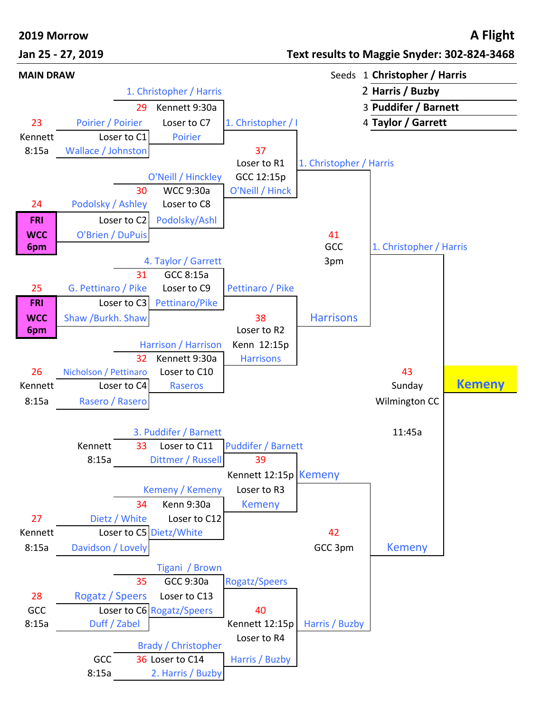### **2019 Morrow A Flight**

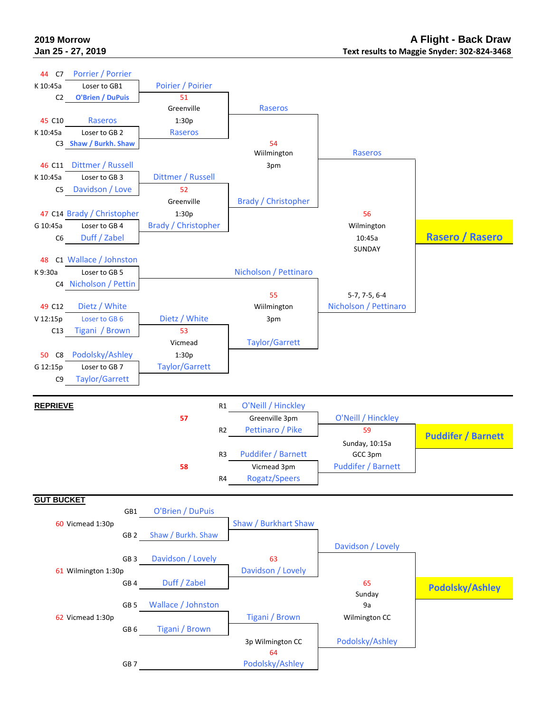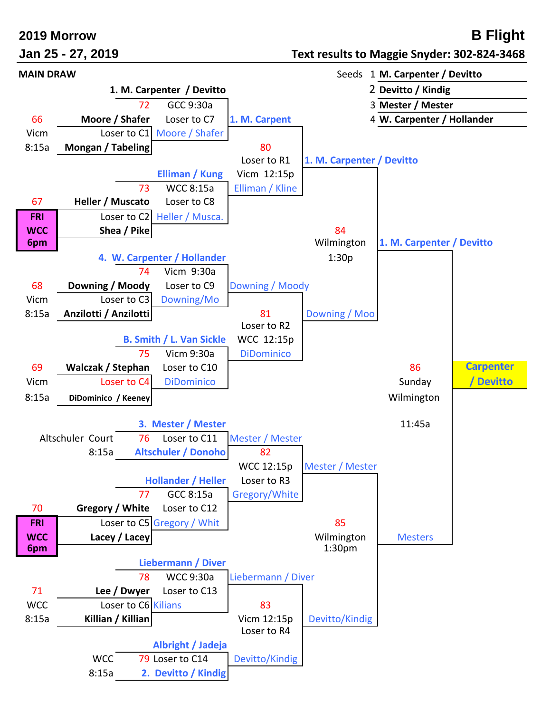### **2019 Morrow B Flight**

## **Jan 25 - 27, 2019 Text results to Maggie Snyder: 302-824-3468**